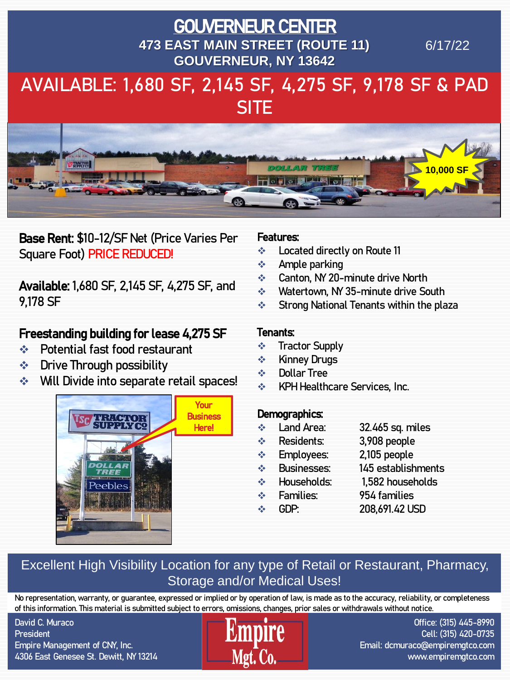## AVAILABLE: 1,680 SF, 2,145 SF, 4,275 SF, 9,178 SF & PAD **SITE** GOUVERNEUR CENTER **473 EAST MAIN STREET (ROUTE 11) GOUVERNEUR, NY 13642** 6/17/22



Base Rent: \$10-12/SF Net (Price Varies Per Square Foot) PRICE REDUCED!

Available: 1,680 SF, 2,145 SF, 4,275 SF, and 9,178 SF

## Freestanding building for lease 4,275 SF

- ❖ Potential fast food restaurant
- ❖ Drive Through possibility
- ❖ Will Divide into separate retail spaces!



#### Features:

- ❖ Located directly on Route 11
- ❖ Ample parking
- ❖ Canton, NY 20-minute drive North
- ❖ Watertown, NY 35-minute drive South
- ❖ Strong National Tenants within the plaza

#### Tenants:

- ❖ Tractor Supply
- ❖ Kinney Drugs
- ❖ Dollar Tree
- ❖ KPH Healthcare Services, Inc.

#### Demographics:

- ❖ Land Area: 32.465 sq. miles
- ❖ Residents: 3,908 people
- ❖ Employees: 2,105 people
- ❖ Businesses: 145 establishments
- ❖ Households: 1,582 households
- 
- 
- 
- ❖ Families: 954 families
- ❖ GDP: 208,691.42 USD

### Excellent High Visibility Location for any type of Retail or Restaurant, Pharmacy, Storage and/or Medical Uses!

No representation, warranty, or guarantee, expressed or implied or by operation of law, is made as to the accuracy, reliability, or completeness of this information. This material is submitted subject to errors, omissions, changes, prior sales or withdrawals without notice.

David C. Muraco **President** Empire Management of CNY, Inc. 4306 East Genesee St. Dewitt, NY 13214



Office: (315) 445-8990 Cell: (315) 420-0735 Email: dcmuraco@empiremgtco.com www.empiremgtco.com